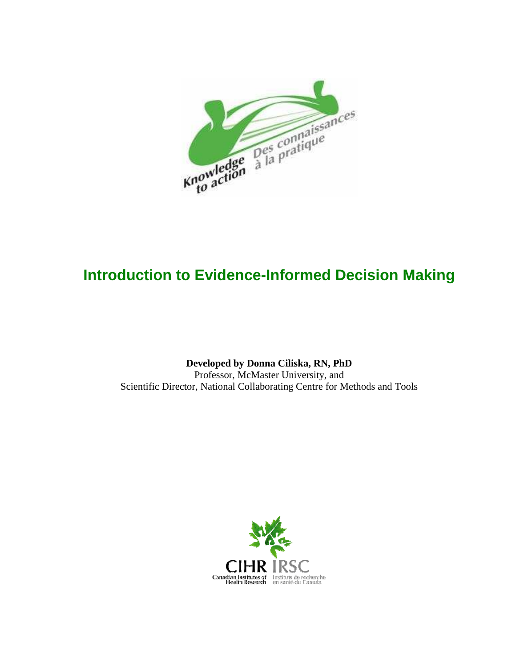

# **Introduction to Evidence-Informed Decision Making**

**Developed by Donna Ciliska, RN, PhD**  Professor, McMaster University, and Scientific Director, National Collaborating Centre for Methods and Tools

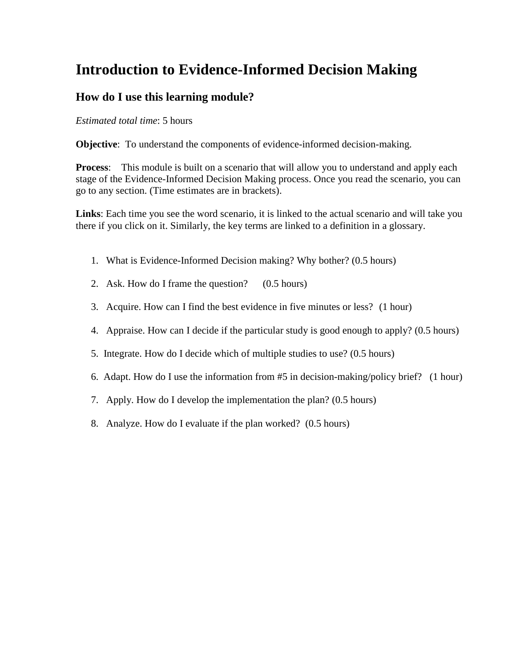# **Introduction to Evidence-Informed Decision Making**

### **How do I use this learning module?**

*Estimated total time*: 5 hours

**Objective:** To understand the components of evidence-informed decision-making.

**Process**: This module is built on a scenario that will allow you to understand and apply each stage of the Evidence-Informed Decision Making process. Once you read the scenario, you can go to any section. (Time estimates are in brackets).

**Links**: Each time you see the word scenario, it is linked to the actual scenario and will take you there if you click on it. Similarly, the key terms are linked to a definition in a glossary.

- 1. What is Evidence-Informed Decision making? Why bother? (0.5 hours)
- 2. Ask. How do I frame the question? (0.5 hours)
- 3. Acquire. How can I find the best evidence in five minutes or less? (1 hour)
- 4. Appraise. How can I decide if the particular study is good enough to apply? (0.5 hours)
- 5. Integrate. How do I decide which of multiple studies to use? (0.5 hours)
- 6. Adapt. How do I use the information from #5 in decision-making/policy brief? (1 hour)
- 7. Apply. How do I develop the implementation the plan? (0.5 hours)
- 8. Analyze. How do I evaluate if the plan worked? (0.5 hours)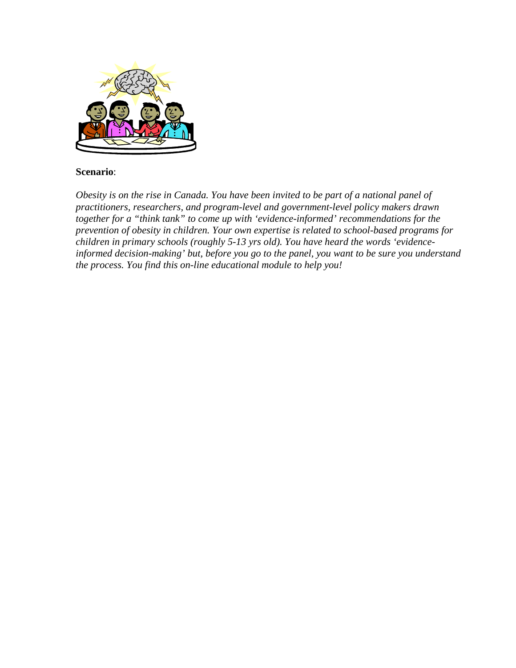

#### **Scenario**:

*Obesity is on the rise in Canada. You have been invited to be part of a national panel of practitioners, researchers, and program-level and government-level policy makers drawn together for a "think tank" to come up with 'evidence-informed' recommendations for the prevention of obesity in children. Your own expertise is related to school-based programs for children in primary schools (roughly 5-13 yrs old). You have heard the words 'evidenceinformed decision-making' but, before you go to the panel, you want to be sure you understand the process. You find this on-line educational module to help you!*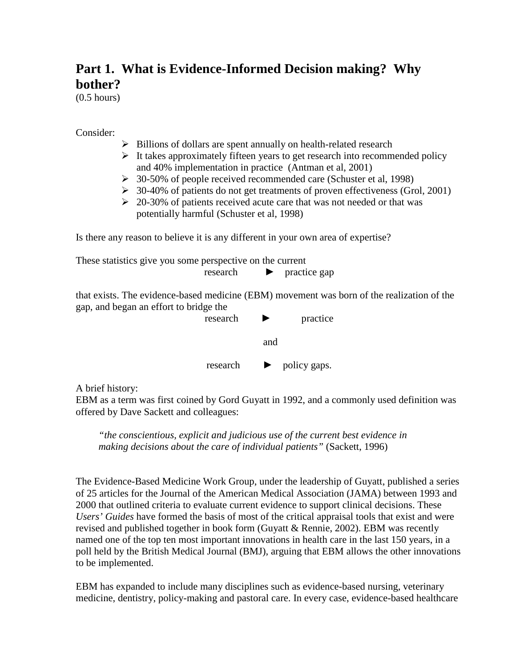# **Part 1. What is Evidence-Informed Decision making? Why bother?**

(0.5 hours)

Consider:

- $\triangleright$  Billions of dollars are spent annually on health-related research
- $\triangleright$  It takes approximately fifteen years to get research into recommended policy and 40% implementation in practice (Antman et al, 2001)
- 30-50% of people received recommended care (Schuster et al, 1998)
- $\geq 30-40\%$  of patients do not get treatments of proven effectiveness (Grol, 2001)
- $\geq 20-30\%$  of patients received acute care that was not needed or that was potentially harmful (Schuster et al, 1998)

Is there any reason to believe it is any different in your own area of expertise?

These statistics give you some perspective on the current research ► practice gap

that exists. The evidence-based medicine (EBM) movement was born of the realization of the gap, and began an effort to bridge the



A brief history:

EBM as a term was first coined by Gord Guyatt in 1992, and a commonly used definition was offered by Dave Sackett and colleagues:

*"the conscientious, explicit and judicious use of the current best evidence in making decisions about the care of individual patients"* (Sackett, 1996)

The Evidence-Based Medicine Work Group, under the leadership of Guyatt, published a series of 25 articles for the Journal of the American Medical Association (JAMA) between 1993 and 2000 that outlined criteria to evaluate current evidence to support clinical decisions. These *Users' Guides* have formed the basis of most of the critical appraisal tools that exist and were revised and published together in book form (Guyatt & Rennie, 2002). EBM was recently named one of the top ten most important innovations in health care in the last 150 years, in a poll held by the British Medical Journal (BMJ), arguing that EBM allows the other innovations to be implemented.

EBM has expanded to include many disciplines such as evidence-based nursing, veterinary medicine, dentistry, policy-making and pastoral care. In every case, evidence-based healthcare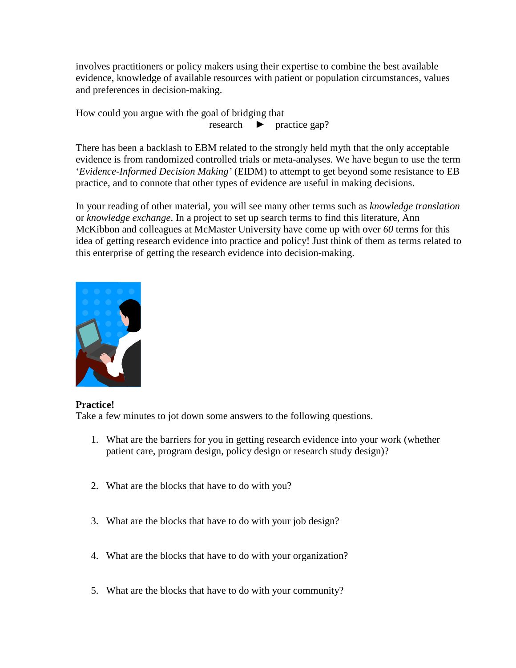involves practitioners or policy makers using their expertise to combine the best available evidence, knowledge of available resources with patient or population circumstances, values and preferences in decision-making.

How could you argue with the goal of bridging that research ► practice gap?

There has been a backlash to EBM related to the strongly held myth that the only acceptable evidence is from randomized controlled trials or meta-analyses. We have begun to use the term '*Evidence-Informed Decision Making'* (EIDM) to attempt to get beyond some resistance to EB practice, and to connote that other types of evidence are useful in making decisions.

In your reading of other material, you will see many other terms such as *knowledge translation* or *knowledge exchange*. In a project to set up search terms to find this literature, Ann McKibbon and colleagues at McMaster University have come up with over *60* terms for this idea of getting research evidence into practice and policy! Just think of them as terms related to this enterprise of getting the research evidence into decision-making.



**Practice!** 

Take a few minutes to jot down some answers to the following questions.

- 1. What are the barriers for you in getting research evidence into your work (whether patient care, program design, policy design or research study design)?
- 2. What are the blocks that have to do with you?
- 3. What are the blocks that have to do with your job design?
- 4. What are the blocks that have to do with your organization?
- 5. What are the blocks that have to do with your community?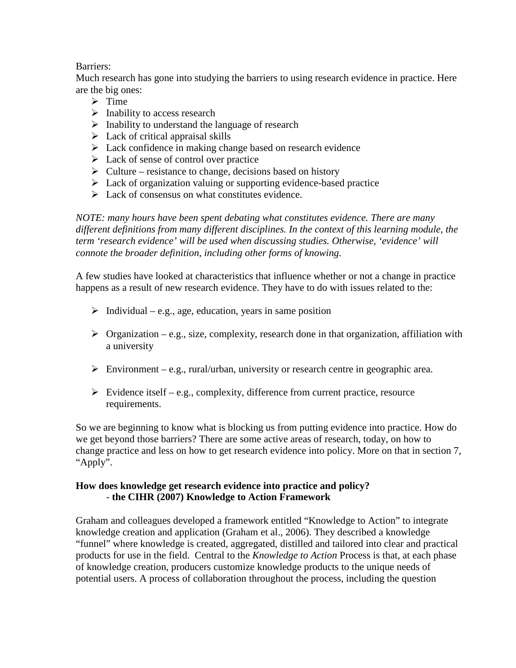#### Barriers:

Much research has gone into studying the barriers to using research evidence in practice. Here are the big ones:

- $\triangleright$  Time
- $\triangleright$  Inability to access research
- $\triangleright$  Inability to understand the language of research
- $\triangleright$  Lack of critical appraisal skills
- $\triangleright$  Lack confidence in making change based on research evidence
- $\triangleright$  Lack of sense of control over practice
- $\triangleright$  Culture resistance to change, decisions based on history
- $\triangleright$  Lack of organization valuing or supporting evidence-based practice
- $\triangleright$  Lack of consensus on what constitutes evidence.

*NOTE: many hours have been spent debating what constitutes evidence. There are many different definitions from many different disciplines. In the context of this learning module, the term 'research evidence' will be used when discussing studies. Otherwise, 'evidence' will connote the broader definition, including other forms of knowing.* 

A few studies have looked at characteristics that influence whether or not a change in practice happens as a result of new research evidence. They have to do with issues related to the:

- $\triangleright$  Individual e.g., age, education, years in same position
- $\triangleright$  Organization e.g., size, complexity, research done in that organization, affiliation with a university
- Environment e.g., rural/urban, university or research centre in geographic area.
- $\triangleright$  Evidence itself e.g., complexity, difference from current practice, resource requirements.

So we are beginning to know what is blocking us from putting evidence into practice. How do we get beyond those barriers? There are some active areas of research, today, on how to change practice and less on how to get research evidence into policy. More on that in section 7, "Apply".

#### **How does knowledge get research evidence into practice and policy?**  - **the CIHR (2007) Knowledge to Action Framework**

Graham and colleagues developed a framework entitled "Knowledge to Action" to integrate knowledge creation and application (Graham et al., 2006). They described a knowledge "funnel" where knowledge is created, aggregated, distilled and tailored into clear and practical products for use in the field. Central to the *Knowledge to Action* Process is that, at each phase of knowledge creation, producers customize knowledge products to the unique needs of potential users. A process of collaboration throughout the process, including the question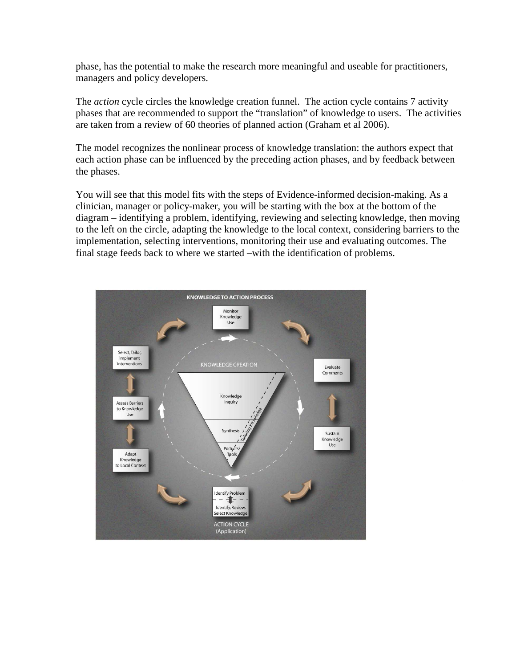phase, has the potential to make the research more meaningful and useable for practitioners, managers and policy developers.

The *action* cycle circles the knowledge creation funnel. The action cycle contains 7 activity phases that are recommended to support the "translation" of knowledge to users. The activities are taken from a review of 60 theories of planned action (Graham et al 2006).

The model recognizes the nonlinear process of knowledge translation: the authors expect that each action phase can be influenced by the preceding action phases, and by feedback between the phases.

You will see that this model fits with the steps of Evidence-informed decision-making. As a clinician, manager or policy-maker, you will be starting with the box at the bottom of the diagram – identifying a problem, identifying, reviewing and selecting knowledge, then moving to the left on the circle, adapting the knowledge to the local context, considering barriers to the implementation, selecting interventions, monitoring their use and evaluating outcomes. The final stage feeds back to where we started –with the identification of problems.

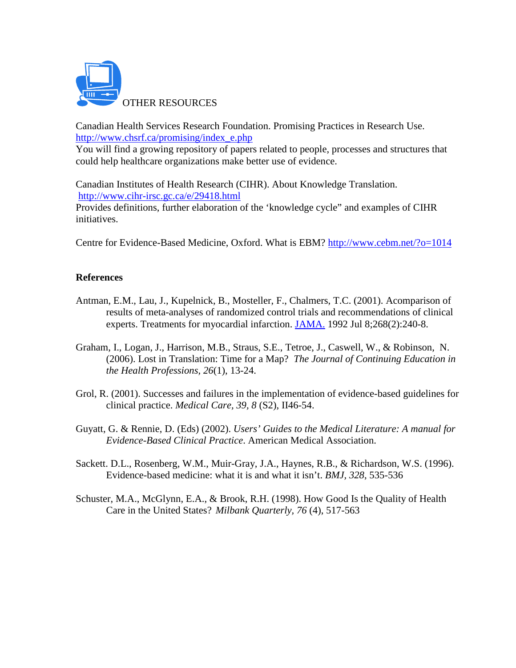

Canadian Health Services Research Foundation. Promising Practices in Research Use. http://www.chsrf.ca/promising/index\_e.php

You will find a growing repository of papers related to people, processes and structures that could help healthcare organizations make better use of evidence.

Canadian Institutes of Health Research (CIHR). About Knowledge Translation. http://www.cihr-irsc.gc.ca/e/29418.html Provides definitions, further elaboration of the 'knowledge cycle" and examples of CIHR initiatives.

Centre for Evidence-Based Medicine, Oxford. What is EBM? http://www.cebm.net/?o=1014

#### **References**

- Antman, E.M., Lau, J., Kupelnick, B., Mosteller, F., Chalmers, T.C. (2001). Acomparison of results of meta-analyses of randomized control trials and recommendations of clinical experts. Treatments for myocardial infarction. JAMA. 1992 Jul 8;268(2):240-8.
- Graham, I., Logan, J., Harrison, M.B., Straus, S.E., Tetroe, J., Caswell, W., & Robinson, N. (2006). Lost in Translation: Time for a Map? *The Journal of Continuing Education in the Health Professions, 26*(1), 13-24.
- Grol, R. (2001). Successes and failures in the implementation of evidence-based guidelines for clinical practice. *Medical Care, 39, 8* (S2), II46-54.
- Guyatt, G. & Rennie, D. (Eds) (2002). *Users' Guides to the Medical Literature: A manual for Evidence-Based Clinical Practice*. American Medical Association.
- Sackett. D.L., Rosenberg, W.M., Muir-Gray, J.A., Haynes, R.B., & Richardson, W.S. (1996). Evidence-based medicine: what it is and what it isn't. *BMJ, 328*, 535-536
- Schuster, M.A., McGlynn, E.A., & Brook, R.H. (1998). How Good Is the Quality of Health Care in the United States? *Milbank Quarterly, 76* (4), 517-563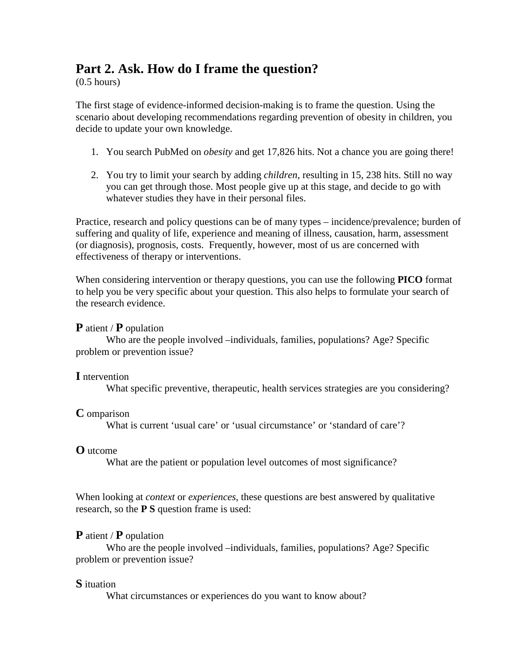### **Part 2. Ask. How do I frame the question?**

(0.5 hours)

The first stage of evidence-informed decision-making is to frame the question. Using the scenario about developing recommendations regarding prevention of obesity in children, you decide to update your own knowledge.

- 1. You search PubMed on *obesity* and get 17,826 hits. Not a chance you are going there!
- 2. You try to limit your search by adding *children*, resulting in 15, 238 hits. Still no way you can get through those. Most people give up at this stage, and decide to go with whatever studies they have in their personal files.

Practice, research and policy questions can be of many types – incidence/prevalence; burden of suffering and quality of life, experience and meaning of illness, causation, harm, assessment (or diagnosis), prognosis, costs. Frequently, however, most of us are concerned with effectiveness of therapy or interventions.

When considering intervention or therapy questions, you can use the following **PICO** format to help you be very specific about your question. This also helps to formulate your search of the research evidence.

**P** atient / **P** opulation

Who are the people involved –individuals, families, populations? Age? Specific problem or prevention issue?

#### **I** ntervention

What specific preventive, therapeutic, health services strategies are you considering?

#### **C** omparison

What is current 'usual care' or 'usual circumstance' or 'standard of care'?

#### **O** utcome

What are the patient or population level outcomes of most significance?

When looking at *context* or *experiences*, these questions are best answered by qualitative research, so the **P S** question frame is used:

#### **P** atient / **P** opulation

Who are the people involved –individuals, families, populations? Age? Specific problem or prevention issue?

#### **S** ituation

What circumstances or experiences do you want to know about?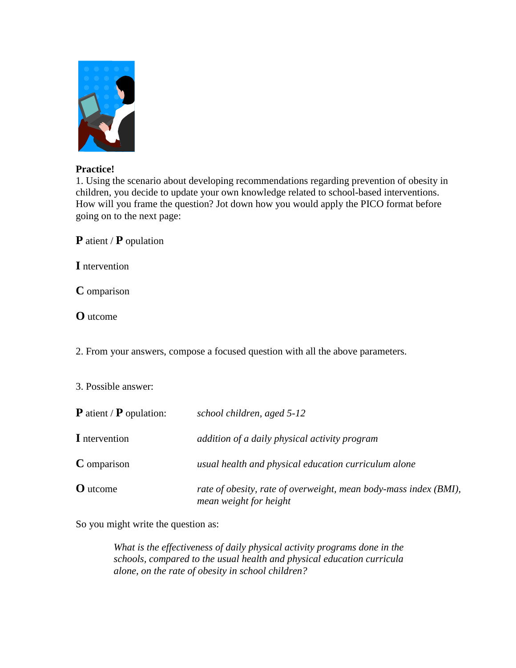

#### **Practice!**

1. Using the scenario about developing recommendations regarding prevention of obesity in children, you decide to update your own knowledge related to school-based interventions. How will you frame the question? Jot down how you would apply the PICO format before going on to the next page:

**P** atient / **P** opulation

**I** ntervention

**C** omparison

**O** utcome

2. From your answers, compose a focused question with all the above parameters.

#### 3. Possible answer:

| <b>P</b> atient / <b>P</b> opulation: | school children, aged 5-12                                                                 |
|---------------------------------------|--------------------------------------------------------------------------------------------|
| I ntervention                         | addition of a daily physical activity program                                              |
| <b>C</b> omparison                    | usual health and physical education curriculum alone                                       |
| <b>O</b> utcome                       | rate of obesity, rate of overweight, mean body-mass index (BMI),<br>mean weight for height |

So you might write the question as:

*What is the effectiveness of daily physical activity programs done in the schools, compared to the usual health and physical education curricula alone, on the rate of obesity in school children?*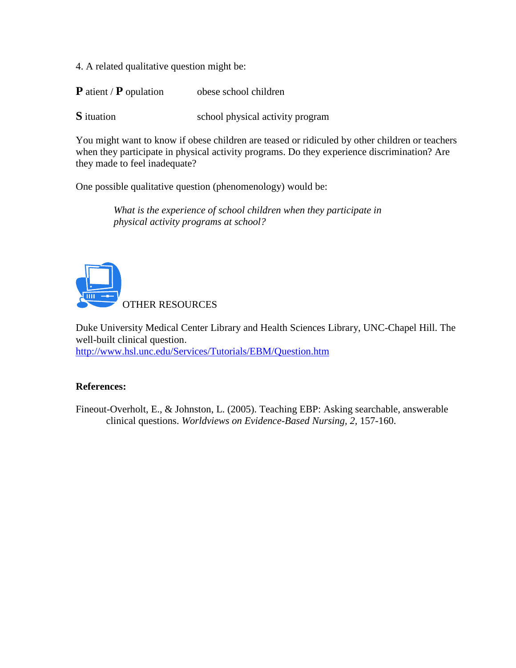4. A related qualitative question might be:

**P** atient / **P** opulation obese school children

**S** ituation school physical activity program

You might want to know if obese children are teased or ridiculed by other children or teachers when they participate in physical activity programs. Do they experience discrimination? Are they made to feel inadequate?

One possible qualitative question (phenomenology) would be:

*What is the experience of school children when they participate in physical activity programs at school?*



Duke University Medical Center Library and Health Sciences Library, UNC-Chapel Hill. The well-built clinical question. http://www.hsl.unc.edu/Services/Tutorials/EBM/Question.htm

#### **References:**

Fineout-Overholt, E., & Johnston, L. (2005). Teaching EBP: Asking searchable, answerable clinical questions. *Worldviews on Evidence-Based Nursing, 2,* 157-160.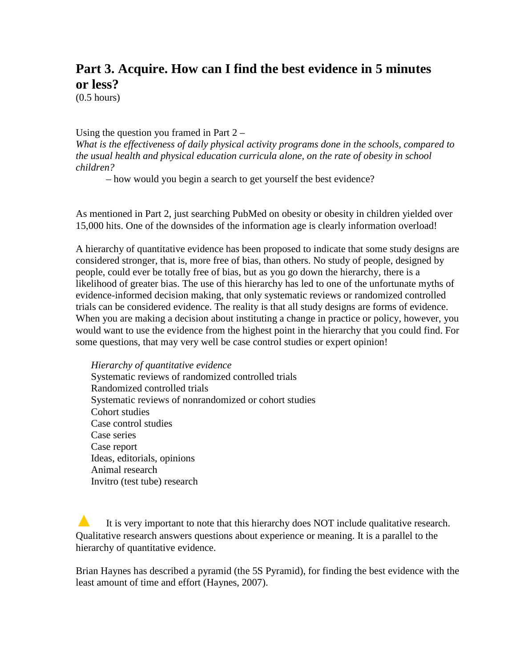### **Part 3. Acquire. How can I find the best evidence in 5 minutes or less?**

(0.5 hours)

Using the question you framed in Part  $2 -$ 

*What is the effectiveness of daily physical activity programs done in the schools, compared to the usual health and physical education curricula alone, on the rate of obesity in school children?* 

– how would you begin a search to get yourself the best evidence?

As mentioned in Part 2, just searching PubMed on obesity or obesity in children yielded over 15,000 hits. One of the downsides of the information age is clearly information overload!

A hierarchy of quantitative evidence has been proposed to indicate that some study designs are considered stronger, that is, more free of bias, than others. No study of people, designed by people, could ever be totally free of bias, but as you go down the hierarchy, there is a likelihood of greater bias. The use of this hierarchy has led to one of the unfortunate myths of evidence-informed decision making, that only systematic reviews or randomized controlled trials can be considered evidence. The reality is that all study designs are forms of evidence. When you are making a decision about instituting a change in practice or policy, however, you would want to use the evidence from the highest point in the hierarchy that you could find. For some questions, that may very well be case control studies or expert opinion!

*Hierarchy of quantitative evidence*  Systematic reviews of randomized controlled trials Randomized controlled trials Systematic reviews of nonrandomized or cohort studies Cohort studies Case control studies Case series Case report Ideas, editorials, opinions Animal research Invitro (test tube) research

**A** It is very important to note that this hierarchy does NOT include qualitative research. Qualitative research answers questions about experience or meaning. It is a parallel to the hierarchy of quantitative evidence.

Brian Haynes has described a pyramid (the 5S Pyramid), for finding the best evidence with the least amount of time and effort (Haynes, 2007).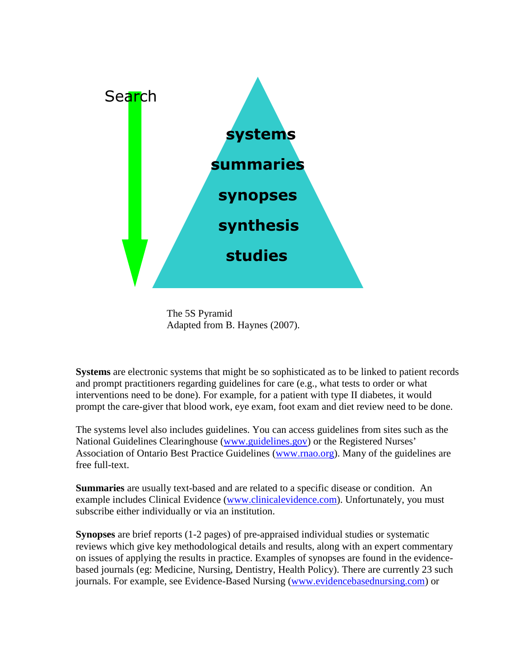

The 5S Pyramid Adapted from B. Haynes (2007).

**Systems** are electronic systems that might be so sophisticated as to be linked to patient records and prompt practitioners regarding guidelines for care (e.g., what tests to order or what interventions need to be done). For example, for a patient with type II diabetes, it would prompt the care-giver that blood work, eye exam, foot exam and diet review need to be done.

The systems level also includes guidelines. You can access guidelines from sites such as the National Guidelines Clearinghouse (www.guidelines.gov) or the Registered Nurses' Association of Ontario Best Practice Guidelines (www.rnao.org). Many of the guidelines are free full-text.

**Summaries** are usually text-based and are related to a specific disease or condition. An example includes Clinical Evidence (www.clinicalevidence.com). Unfortunately, you must subscribe either individually or via an institution.

**Synopses** are brief reports (1-2 pages) of pre-appraised individual studies or systematic reviews which give key methodological details and results, along with an expert commentary on issues of applying the results in practice. Examples of synopses are found in the evidencebased journals (eg: Medicine, Nursing, Dentistry, Health Policy). There are currently 23 such journals. For example, see Evidence-Based Nursing (www.evidencebasednursing.com) or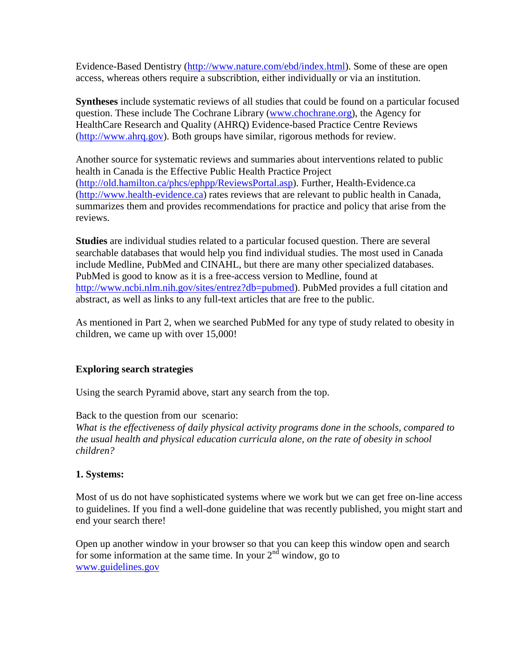Evidence-Based Dentistry (http://www.nature.com/ebd/index.html). Some of these are open access, whereas others require a subscribtion, either individually or via an institution.

**Syntheses** include systematic reviews of all studies that could be found on a particular focused question. These include The Cochrane Library (www.chochrane.org), the Agency for HealthCare Research and Quality (AHRQ) Evidence-based Practice Centre Reviews (http://www.ahrq.gov). Both groups have similar, rigorous methods for review.

Another source for systematic reviews and summaries about interventions related to public health in Canada is the Effective Public Health Practice Project (http://old.hamilton.ca/phcs/ephpp/ReviewsPortal.asp). Further, Health-Evidence.ca (http://www.health-evidence.ca) rates reviews that are relevant to public health in Canada, summarizes them and provides recommendations for practice and policy that arise from the reviews.

**Studies** are individual studies related to a particular focused question. There are several searchable databases that would help you find individual studies. The most used in Canada include Medline, PubMed and CINAHL, but there are many other specialized databases. PubMed is good to know as it is a free-access version to Medline, found at http://www.ncbi.nlm.nih.gov/sites/entrez?db=pubmed). PubMed provides a full citation and abstract, as well as links to any full-text articles that are free to the public.

As mentioned in Part 2, when we searched PubMed for any type of study related to obesity in children, we came up with over 15,000!

#### **Exploring search strategies**

Using the search Pyramid above, start any search from the top.

Back to the question from our scenario: *What is the effectiveness of daily physical activity programs done in the schools, compared to the usual health and physical education curricula alone, on the rate of obesity in school children?* 

#### **1. Systems:**

Most of us do not have sophisticated systems where we work but we can get free on-line access to guidelines. If you find a well-done guideline that was recently published, you might start and end your search there!

Open up another window in your browser so that you can keep this window open and search for some information at the same time. In your  $2<sup>nd</sup>$  window, go to www.guidelines.gov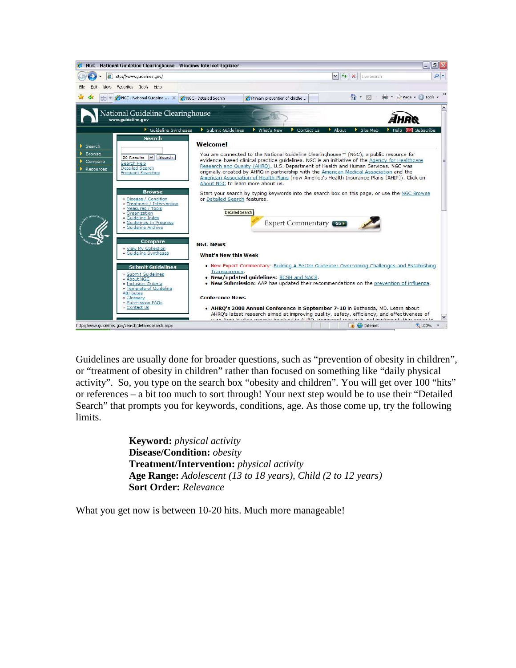

Guidelines are usually done for broader questions, such as "prevention of obesity in children", or "treatment of obesity in children" rather than focused on something like "daily physical activity". So, you type on the search box "obesity and children". You will get over 100 "hits" or references – a bit too much to sort through! Your next step would be to use their "Detailed Search" that prompts you for keywords, conditions, age. As those come up, try the following limits.

> **Keyword:** *physical activity* **Disease/Condition:** *obesity* **Treatment/Intervention:** *physical activity* **Age Range:** *Adolescent (13 to 18 years), Child (2 to 12 years)* **Sort Order:** *Relevance*

What you get now is between 10-20 hits. Much more manageable!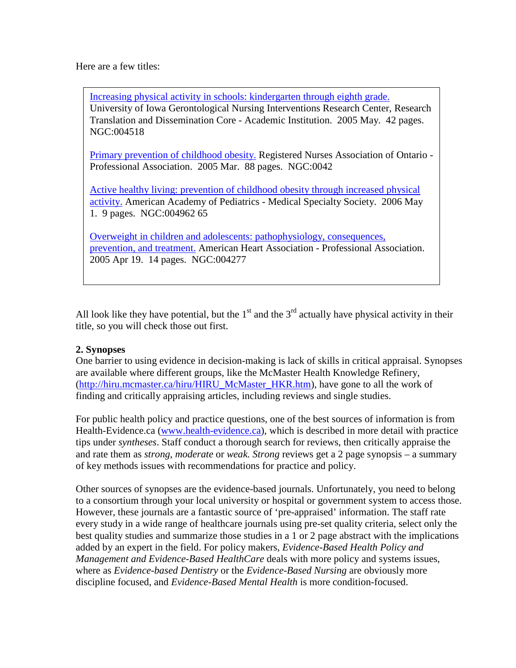Here are a few titles:

Increasing physical activity in schools: kindergarten through eighth grade. University of Iowa Gerontological Nursing Interventions Research Center, Research Translation and Dissemination Core - Academic Institution. 2005 May. 42 pages. NGC:004518

Primary prevention of childhood obesity. Registered Nurses Association of Ontario - Professional Association. 2005 Mar. 88 pages. NGC:0042

Active healthy living: prevention of childhood obesity through increased physical activity. American Academy of Pediatrics - Medical Specialty Society. 2006 May 1. 9 pages. NGC:004962 65

Overweight in children and adolescents: pathophysiology, consequences, prevention, and treatment. American Heart Association - Professional Association. 2005 Apr 19. 14 pages. NGC:004277

All look like they have potential, but the  $1<sup>st</sup>$  and the  $3<sup>rd</sup>$  actually have physical activity in their title, so you will check those out first.

#### **2. Synopses**

One barrier to using evidence in decision-making is lack of skills in critical appraisal. Synopses are available where different groups, like the McMaster Health Knowledge Refinery, (http://hiru.mcmaster.ca/hiru/HIRU\_McMaster\_HKR.htm), have gone to all the work of finding and critically appraising articles, including reviews and single studies.

For public health policy and practice questions, one of the best sources of information is from Health-Evidence.ca (www.health-evidence.ca), which is described in more detail with practice tips under *syntheses*. Staff conduct a thorough search for reviews, then critically appraise the and rate them as *strong*, *moderate* or *weak. Strong* reviews get a 2 page synopsis – a summary of key methods issues with recommendations for practice and policy.

Other sources of synopses are the evidence-based journals. Unfortunately, you need to belong to a consortium through your local university or hospital or government system to access those. However, these journals are a fantastic source of 'pre-appraised' information. The staff rate every study in a wide range of healthcare journals using pre-set quality criteria, select only the best quality studies and summarize those studies in a 1 or 2 page abstract with the implications added by an expert in the field. For policy makers, *Evidence-Based Health Policy and Management and Evidence-Based HealthCare* deals with more policy and systems issues, where as *Evidence-based Dentistry* or the *Evidence-Based Nursing* are obviously more discipline focused, and *Evidence-Based Mental Health* is more condition-focused.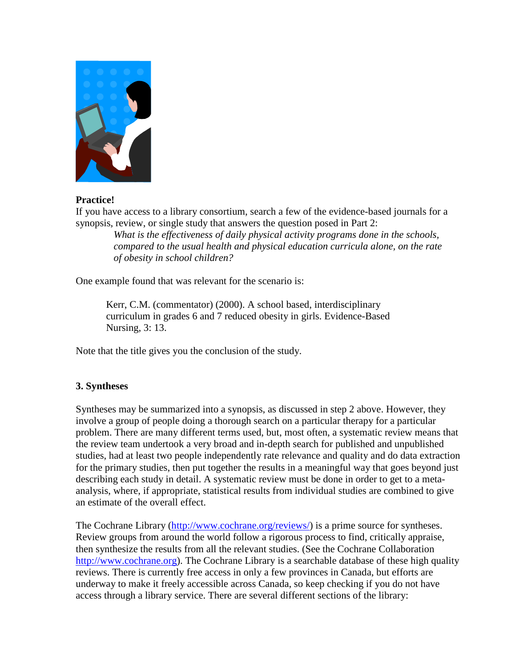

#### **Practice!**

If you have access to a library consortium, search a few of the evidence-based journals for a synopsis, review, or single study that answers the question posed in Part 2:

> *What is the effectiveness of daily physical activity programs done in the schools, compared to the usual health and physical education curricula alone, on the rate of obesity in school children?*

One example found that was relevant for the scenario is:

Kerr, C.M. (commentator) (2000). A school based, interdisciplinary curriculum in grades 6 and 7 reduced obesity in girls. Evidence-Based Nursing, 3: 13.

Note that the title gives you the conclusion of the study.

#### **3. Syntheses**

Syntheses may be summarized into a synopsis, as discussed in step 2 above. However, they involve a group of people doing a thorough search on a particular therapy for a particular problem. There are many different terms used, but, most often, a systematic review means that the review team undertook a very broad and in-depth search for published and unpublished studies, had at least two people independently rate relevance and quality and do data extraction for the primary studies, then put together the results in a meaningful way that goes beyond just describing each study in detail. A systematic review must be done in order to get to a metaanalysis, where, if appropriate, statistical results from individual studies are combined to give an estimate of the overall effect.

The Cochrane Library (http://www.cochrane.org/reviews/) is a prime source for syntheses. Review groups from around the world follow a rigorous process to find, critically appraise, then synthesize the results from all the relevant studies. (See the Cochrane Collaboration http://www.cochrane.org). The Cochrane Library is a searchable database of these high quality reviews. There is currently free access in only a few provinces in Canada, but efforts are underway to make it freely accessible across Canada, so keep checking if you do not have access through a library service. There are several different sections of the library: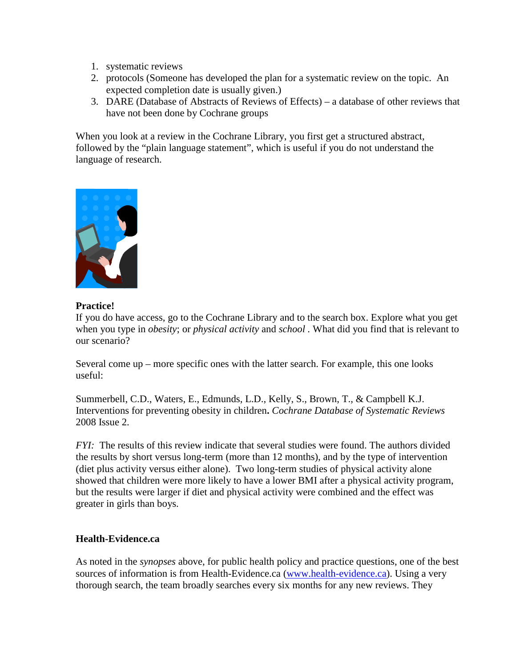- 1. systematic reviews
- 2. protocols (Someone has developed the plan for a systematic review on the topic. An expected completion date is usually given.)
- 3. DARE (Database of Abstracts of Reviews of Effects) a database of other reviews that have not been done by Cochrane groups

When you look at a review in the Cochrane Library, you first get a structured abstract, followed by the "plain language statement", which is useful if you do not understand the language of research.



#### **Practice!**

If you do have access, go to the Cochrane Library and to the search box. Explore what you get when you type in *obesity*; or *physical activity* and *school .* What did you find that is relevant to our scenario?

Several come up – more specific ones with the latter search. For example, this one looks useful:

Summerbell, C.D., Waters, E., Edmunds, L.D., Kelly, S., Brown, T., & Campbell K.J. Interventions for preventing obesity in children**.** *Cochrane Database of Systematic Reviews* 2008 Issue 2.

*FYI:* The results of this review indicate that several studies were found. The authors divided the results by short versus long-term (more than 12 months), and by the type of intervention (diet plus activity versus either alone). Two long-term studies of physical activity alone showed that children were more likely to have a lower BMI after a physical activity program, but the results were larger if diet and physical activity were combined and the effect was greater in girls than boys.

#### **Health-Evidence.ca**

As noted in the *synopses* above, for public health policy and practice questions, one of the best sources of information is from Health-Evidence.ca (www.health-evidence.ca). Using a very thorough search, the team broadly searches every six months for any new reviews. They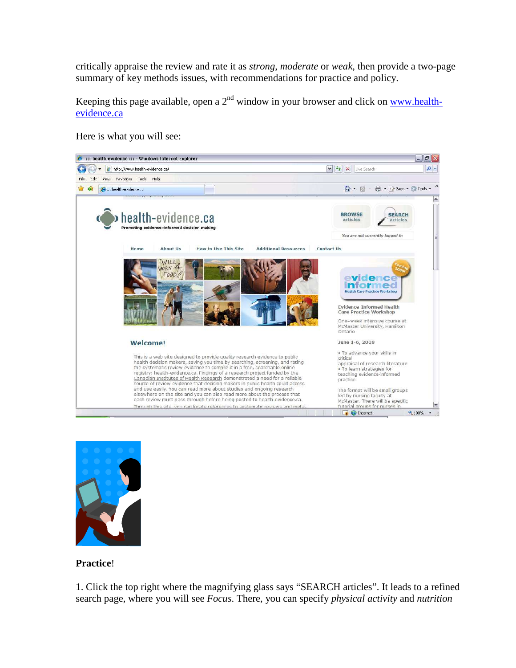critically appraise the review and rate it as *strong*, *moderate* or *weak*, then provide a two-page summary of key methods issues, with recommendations for practice and policy.

Keeping this page available, open a  $2<sup>nd</sup>$  window in your browser and click on www.healthevidence.ca

Here is what you will see:





#### **Practice**!

1. Click the top right where the magnifying glass says "SEARCH articles". It leads to a refined search page, where you will see *Focus*. There, you can specify *physical activity* and *nutrition*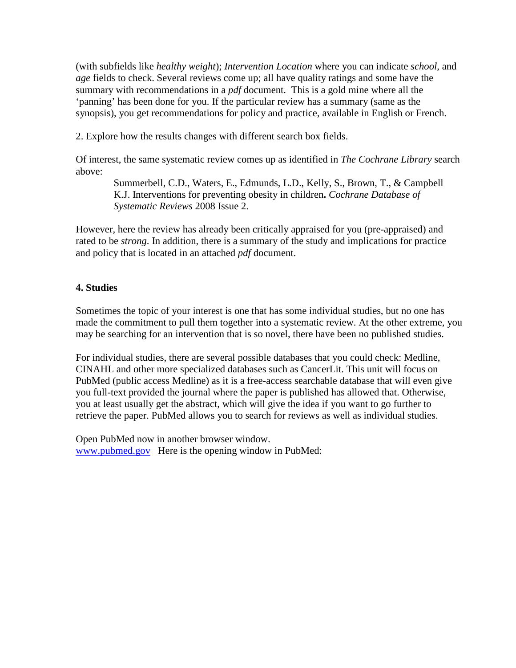(with subfields like *healthy weight*); *Intervention Location* where you can indicate *school*, and *age* fields to check. Several reviews come up; all have quality ratings and some have the summary with recommendations in a *pdf* document. This is a gold mine where all the 'panning' has been done for you. If the particular review has a summary (same as the synopsis), you get recommendations for policy and practice, available in English or French.

2. Explore how the results changes with different search box fields.

Of interest, the same systematic review comes up as identified in *The Cochrane Library* search above:

Summerbell, C.D., Waters, E., Edmunds, L.D., Kelly, S., Brown, T., & Campbell K.J. Interventions for preventing obesity in children**.** *Cochrane Database of Systematic Reviews* 2008 Issue 2.

However, here the review has already been critically appraised for you (pre-appraised) and rated to be *strong*. In addition, there is a summary of the study and implications for practice and policy that is located in an attached *pdf* document.

#### **4. Studies**

Sometimes the topic of your interest is one that has some individual studies, but no one has made the commitment to pull them together into a systematic review. At the other extreme, you may be searching for an intervention that is so novel, there have been no published studies.

For individual studies, there are several possible databases that you could check: Medline, CINAHL and other more specialized databases such as CancerLit. This unit will focus on PubMed (public access Medline) as it is a free-access searchable database that will even give you full-text provided the journal where the paper is published has allowed that. Otherwise, you at least usually get the abstract, which will give the idea if you want to go further to retrieve the paper. PubMed allows you to search for reviews as well as individual studies.

Open PubMed now in another browser window. www.pubmed.gov Here is the opening window in PubMed: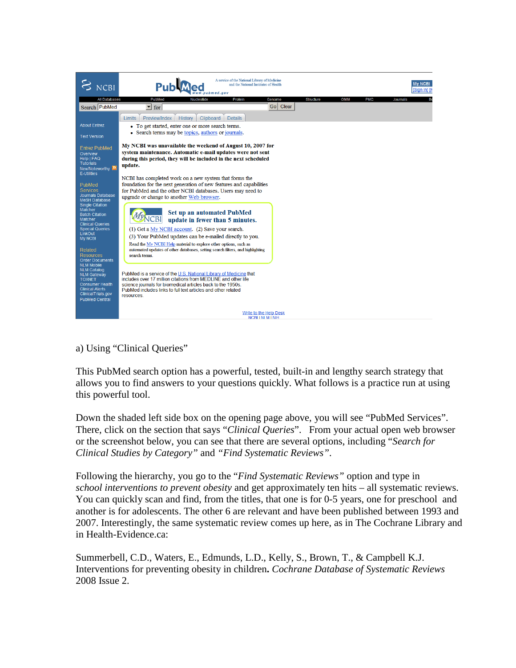

#### a) Using "Clinical Queries"

This PubMed search option has a powerful, tested, built-in and lengthy search strategy that allows you to find answers to your questions quickly. What follows is a practice run at using this powerful tool.

Down the shaded left side box on the opening page above, you will see "PubMed Services". There, click on the section that says "*Clinical Queries*". From your actual open web browser or the screenshot below, you can see that there are several options, including "*Search for Clinical Studies by Category"* and *"Find Systematic Reviews"*.

Following the hierarchy, you go to the "*Find Systematic Reviews"* option and type in *school interventions to prevent obesity* and get approximately ten hits – all systematic reviews. You can quickly scan and find, from the titles, that one is for 0-5 years, one for preschool and another is for adolescents. The other 6 are relevant and have been published between 1993 and 2007. Interestingly, the same systematic review comes up here, as in The Cochrane Library and in Health-Evidence.ca:

Summerbell, C.D., Waters, E., Edmunds, L.D., Kelly, S., Brown, T., & Campbell K.J. Interventions for preventing obesity in children**.** *Cochrane Database of Systematic Reviews* 2008 Issue 2.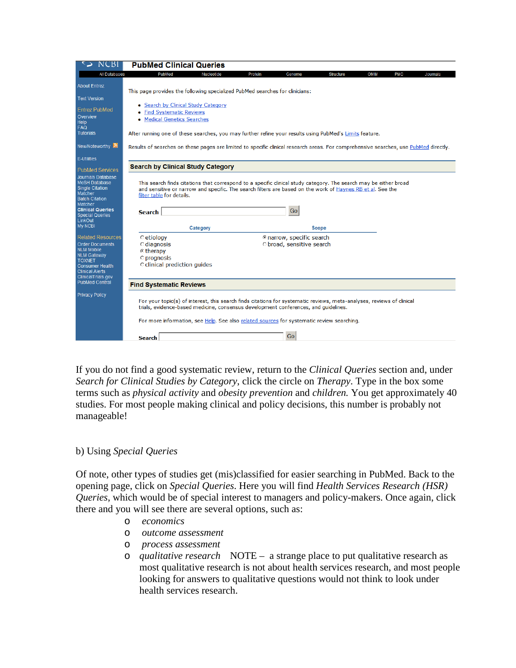| <b>NCBI</b>                                                                                                                                                                              | <b>PubMed Clinical Queries</b>                                                                                                                                                                                                                                                                            |  |  |  |
|------------------------------------------------------------------------------------------------------------------------------------------------------------------------------------------|-----------------------------------------------------------------------------------------------------------------------------------------------------------------------------------------------------------------------------------------------------------------------------------------------------------|--|--|--|
| All Databases                                                                                                                                                                            | PubMed<br>Nucleotide<br>Protein<br><b>OMIM</b><br><b>PMC</b><br>Genome<br><b>Structure</b><br>Journals                                                                                                                                                                                                    |  |  |  |
| <b>About Entrez</b><br><b>Text Version</b>                                                                                                                                               | This page provides the following specialized PubMed searches for clinicians:                                                                                                                                                                                                                              |  |  |  |
| <b>Entrez PubMed</b><br>Overview<br>Help<br><b>FAQ</b><br><b>Tutorials</b>                                                                                                               | • Search by Clinical Study Category<br><b>Find Systematic Reviews</b><br><b>Medical Genetics Searches</b><br>After running one of these searches, you may further refine your results using PubMed's Limits feature.                                                                                      |  |  |  |
| New/Noteworthy <b>N</b>                                                                                                                                                                  | Results of searches on these pages are limited to specific clinical research areas. For comprehensive searches, use PubMed directly.                                                                                                                                                                      |  |  |  |
| <b>E-Utilities</b>                                                                                                                                                                       | <b>Search by Clinical Study Category</b>                                                                                                                                                                                                                                                                  |  |  |  |
| <b>PubMed Services</b><br>Journals Database<br><b>MeSH Database</b><br><b>Single Citation</b><br>Matcher<br><b>Batch Citation</b><br>Matcher<br><b>Clinical Queries</b>                  | This search finds citations that correspond to a specific clinical study category. The search may be either broad<br>and sensitive or narrow and specific. The search filters are based on the work of Haynes RB et al. See the<br>filter table for details.<br>Go                                        |  |  |  |
| <b>Special Queries</b><br>LinkOut<br><b>My NCBI</b>                                                                                                                                      | <b>Search</b><br>Category<br><b>Scope</b>                                                                                                                                                                                                                                                                 |  |  |  |
| <b>Related Resources</b><br><b>Order Documents</b><br><b>NLM Mobile</b><br><b>NLM Gateway</b><br><b>TOXNET</b><br><b>Consumer Health</b><br><b>Clinical Alerts</b><br>ClinicalTrials.gov | © narrow, specific search<br><b>C</b> etiology<br>O broad, sensitive search<br>$\circ$ diagnosis<br>⊙ therapy<br><b>O</b> prognosis<br>C clinical prediction quides                                                                                                                                       |  |  |  |
| <b>PubMed Central</b>                                                                                                                                                                    | <b>Find Systematic Reviews</b>                                                                                                                                                                                                                                                                            |  |  |  |
| <b>Privacy Policy</b>                                                                                                                                                                    | For your topic(s) of interest, this search finds citations for systematic reviews, meta-analyses, reviews of clinical<br>trials, evidence-based medicine, consensus development conferences, and quidelines.<br>For more information, see Help. See also related sources for systematic review searching. |  |  |  |
|                                                                                                                                                                                          | Go<br><b>Search</b>                                                                                                                                                                                                                                                                                       |  |  |  |

If you do not find a good systematic review, return to the *Clinical Queries* section and, under *Search for Clinical Studies by Category*, click the circle on *Therapy*. Type in the box some terms such as *physical activity* and *obesity prevention* and *children.* You get approximately 40 studies. For most people making clinical and policy decisions, this number is probably not manageable!

#### b) Using *Special Queries*

Of note, other types of studies get (mis)classified for easier searching in PubMed. Back to the opening page, click on *Special Queries*. Here you will find *Health Services Research (HSR) Queries*, which would be of special interest to managers and policy-makers. Once again, click there and you will see there are several options, such as:

- o *economics*
- o *outcome assessment*
- o *process assessment*
- o *qualitative research* NOTE a strange place to put qualitative research as most qualitative research is not about health services research, and most people looking for answers to qualitative questions would not think to look under health services research.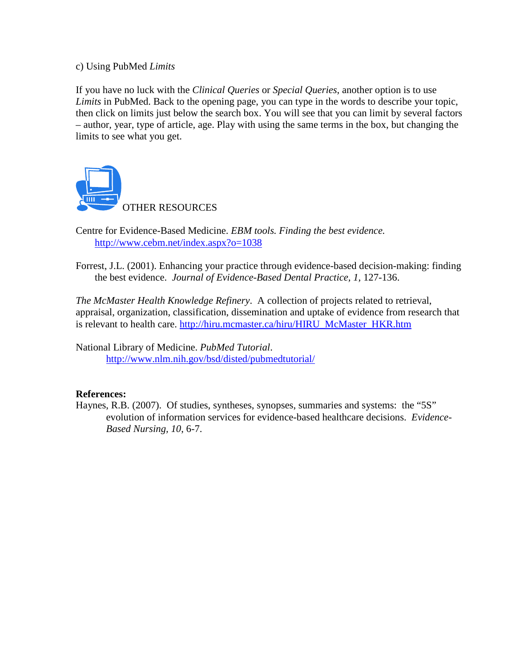#### c) Using PubMed *Limits*

If you have no luck with the *Clinical Queries* or *Special Queries*, another option is to use *Limits* in PubMed. Back to the opening page, you can type in the words to describe your topic, then click on limits just below the search box. You will see that you can limit by several factors – author, year, type of article, age. Play with using the same terms in the box, but changing the limits to see what you get.



Centre for Evidence-Based Medicine. *EBM tools. Finding the best evidence.* http://www.cebm.net/index.aspx?o=1038

Forrest, J.L. (2001). Enhancing your practice through evidence-based decision-making: finding the best evidence. *Journal of Evidence-Based Dental Practice, 1,* 127-136.

*The McMaster Health Knowledge Refinery*. A collection of projects related to retrieval, appraisal, organization, classification, dissemination and uptake of evidence from research that is relevant to health care. http://hiru.mcmaster.ca/hiru/HIRU\_McMaster\_HKR.htm

National Library of Medicine. *PubMed Tutorial*. http://www.nlm.nih.gov/bsd/disted/pubmedtutorial/

#### **References:**

Haynes, R.B. (2007). Of studies, syntheses, synopses, summaries and systems: the "5S" evolution of information services for evidence-based healthcare decisions. *Evidence-Based Nursing, 10*, 6-7.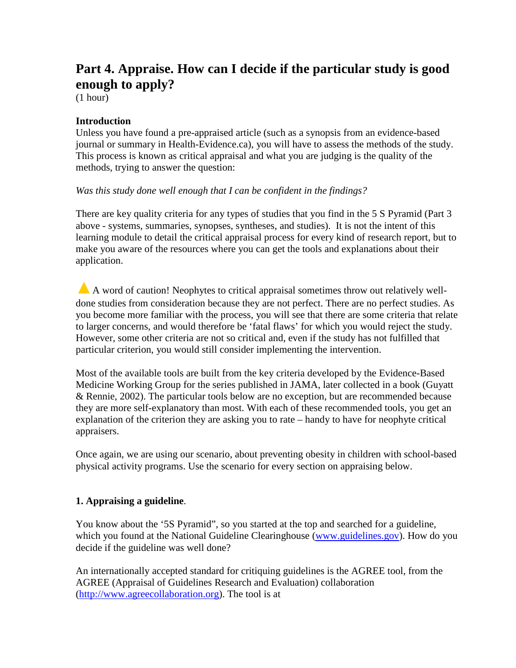### **Part 4. Appraise. How can I decide if the particular study is good enough to apply?**

(1 hour)

#### **Introduction**

Unless you have found a pre-appraised article (such as a synopsis from an evidence-based journal or summary in Health-Evidence.ca), you will have to assess the methods of the study. This process is known as critical appraisal and what you are judging is the quality of the methods, trying to answer the question:

*Was this study done well enough that I can be confident in the findings?* 

There are key quality criteria for any types of studies that you find in the 5 S Pyramid (Part 3 above - systems, summaries, synopses, syntheses, and studies). It is not the intent of this learning module to detail the critical appraisal process for every kind of research report, but to make you aware of the resources where you can get the tools and explanations about their application.

**▲**A word of caution! Neophytes to critical appraisal sometimes throw out relatively welldone studies from consideration because they are not perfect. There are no perfect studies. As you become more familiar with the process, you will see that there are some criteria that relate to larger concerns, and would therefore be 'fatal flaws' for which you would reject the study. However, some other criteria are not so critical and, even if the study has not fulfilled that particular criterion, you would still consider implementing the intervention.

Most of the available tools are built from the key criteria developed by the Evidence-Based Medicine Working Group for the series published in JAMA, later collected in a book (Guyatt & Rennie, 2002). The particular tools below are no exception, but are recommended because they are more self-explanatory than most. With each of these recommended tools, you get an explanation of the criterion they are asking you to rate – handy to have for neophyte critical appraisers.

Once again, we are using our scenario, about preventing obesity in children with school-based physical activity programs. Use the scenario for every section on appraising below.

#### **1. Appraising a guideline**.

You know about the '5S Pyramid", so you started at the top and searched for a guideline, which you found at the National Guideline Clearinghouse (www.guidelines.gov). How do you decide if the guideline was well done?

An internationally accepted standard for critiquing guidelines is the AGREE tool, from the AGREE (Appraisal of Guidelines Research and Evaluation) collaboration (http://www.agreecollaboration.org). The tool is at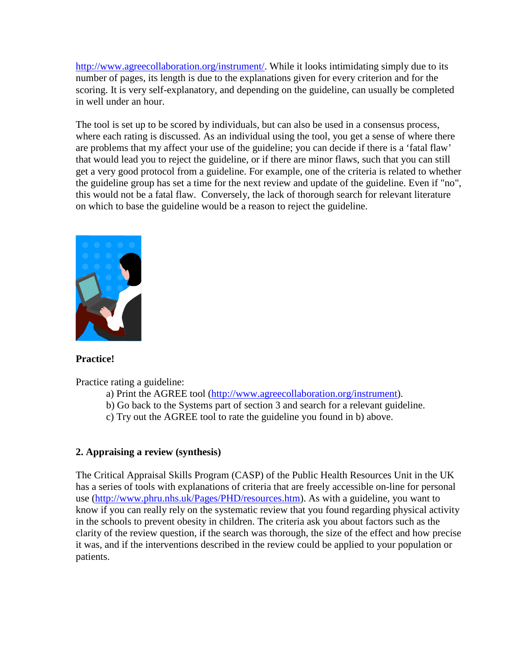http://www.agreecollaboration.org/instrument/. While it looks intimidating simply due to its number of pages, its length is due to the explanations given for every criterion and for the scoring. It is very self-explanatory, and depending on the guideline, can usually be completed in well under an hour.

The tool is set up to be scored by individuals, but can also be used in a consensus process, where each rating is discussed. As an individual using the tool, you get a sense of where there are problems that my affect your use of the guideline; you can decide if there is a 'fatal flaw' that would lead you to reject the guideline, or if there are minor flaws, such that you can still get a very good protocol from a guideline. For example, one of the criteria is related to whether the guideline group has set a time for the next review and update of the guideline. Even if "no", this would not be a fatal flaw. Conversely, the lack of thorough search for relevant literature on which to base the guideline would be a reason to reject the guideline.



#### **Practice!**

Practice rating a guideline:

- a) Print the AGREE tool (http://www.agreecollaboration.org/instrument).
- b) Go back to the Systems part of section 3 and search for a relevant guideline.
- c) Try out the AGREE tool to rate the guideline you found in b) above.

#### **2. Appraising a review (synthesis)**

The Critical Appraisal Skills Program (CASP) of the Public Health Resources Unit in the UK has a series of tools with explanations of criteria that are freely accessible on-line for personal use (http://www.phru.nhs.uk/Pages/PHD/resources.htm). As with a guideline, you want to know if you can really rely on the systematic review that you found regarding physical activity in the schools to prevent obesity in children. The criteria ask you about factors such as the clarity of the review question, if the search was thorough, the size of the effect and how precise it was, and if the interventions described in the review could be applied to your population or patients.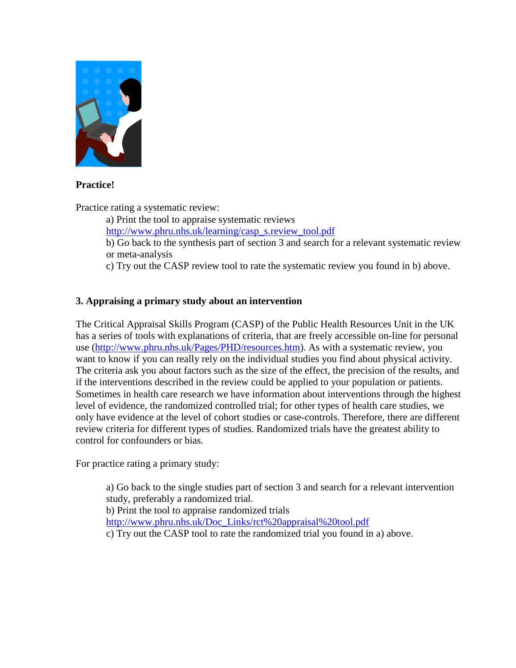

#### **Practice!**

Practice rating a systematic review:

a) Print the tool to appraise systematic reviews

http://www.phru.nhs.uk/learning/casp\_s.review\_tool.pdf

- b) Go back to the synthesis part of section 3 and search for a relevant systematic review or meta-analysis
- c) Try out the CASP review tool to rate the systematic review you found in b) above.

#### **3. Appraising a primary study about an intervention**

The Critical Appraisal Skills Program (CASP) of the Public Health Resources Unit in the UK has a series of tools with explanations of criteria, that are freely accessible on-line for personal use (http://www.phru.nhs.uk/Pages/PHD/resources.htm). As with a systematic review, you want to know if you can really rely on the individual studies you find about physical activity. The criteria ask you about factors such as the size of the effect, the precision of the results, and if the interventions described in the review could be applied to your population or patients. Sometimes in health care research we have information about interventions through the highest level of evidence, the randomized controlled trial; for other types of health care studies, we only have evidence at the level of cohort studies or case-controls. Therefore, there are different review criteria for different types of studies. Randomized trials have the greatest ability to control for confounders or bias.

For practice rating a primary study:

a) Go back to the single studies part of section 3 and search for a relevant intervention study, preferably a randomized trial. b) Print the tool to appraise randomized trials http://www.phru.nhs.uk/Doc\_Links/rct%20appraisal%20tool.pdf c) Try out the CASP tool to rate the randomized trial you found in a) above.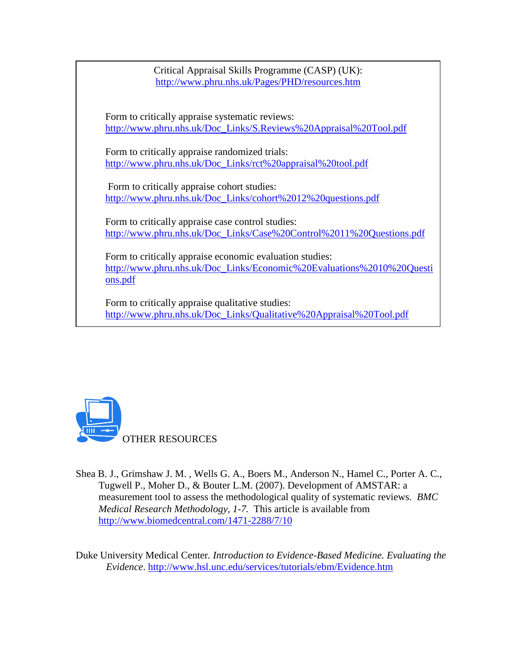Critical Appraisal Skills Programme (CASP) (UK): http://www.phru.nhs.uk/Pages/PHD/resources.htm

Form to critically appraise systematic reviews: http://www.phru.nhs.uk/Doc\_Links/S.Reviews%20Appraisal%20Tool.pdf

Form to critically appraise randomized trials: http://www.phru.nhs.uk/Doc\_Links/rct%20appraisal%20tool.pdf

 Form to critically appraise cohort studies: http://www.phru.nhs.uk/Doc\_Links/cohort%2012%20questions.pdf

Form to critically appraise case control studies: http://www.phru.nhs.uk/Doc\_Links/Case%20Control%2011%20Questions.pdf

Form to critically appraise economic evaluation studies: http://www.phru.nhs.uk/Doc\_Links/Economic%20Evaluations%2010%20Questi ons.pdf

Form to critically appraise qualitative studies: http://www.phru.nhs.uk/Doc\_Links/Qualitative%20Appraisal%20Tool.pdf



Shea B. J., Grimshaw J. M. , Wells G. A., Boers M., Anderson N., Hamel C., Porter A. C., Tugwell P., Moher D., & Bouter L.M. (2007). Development of AMSTAR: a measurement tool to assess the methodological quality of systematic reviews. *BMC Medical Research Methodology, 1-7.* This article is available from http://www.biomedcentral.com/1471-2288/7/10

Duke University Medical Center*. Introduction to Evidence-Based Medicine. Evaluating the Evidence*. http://www.hsl.unc.edu/services/tutorials/ebm/Evidence.htm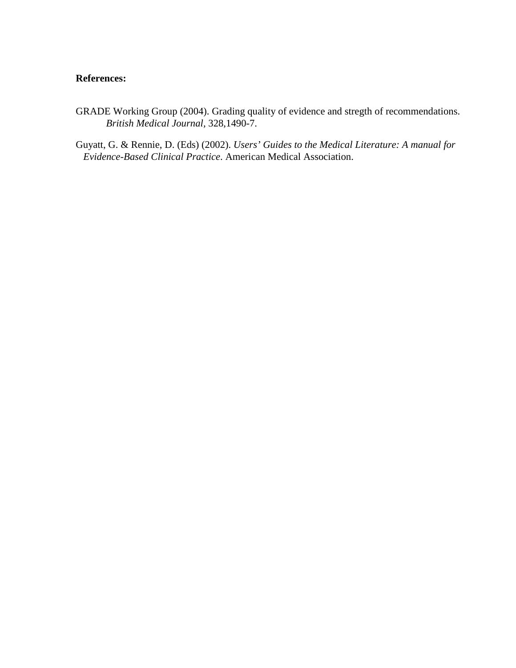#### **References:**

- GRADE Working Group (2004). Grading quality of evidence and stregth of recommendations. *British Medical Journal,* 328,1490-7.
- Guyatt, G. & Rennie, D. (Eds) (2002). *Users' Guides to the Medical Literature: A manual for Evidence-Based Clinical Practice*. American Medical Association.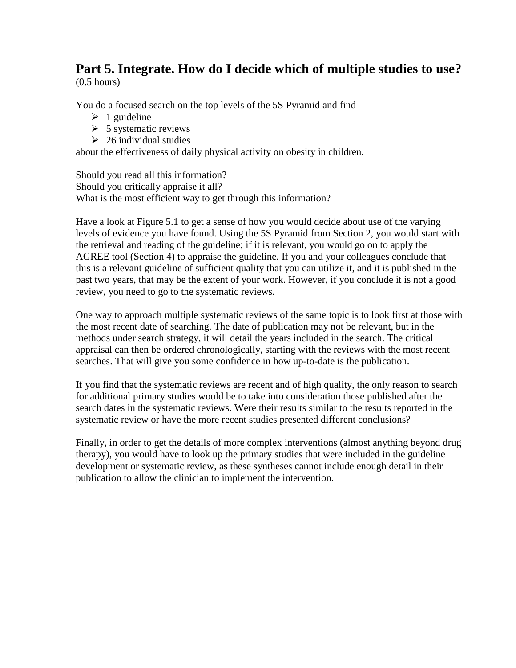# **Part 5. Integrate. How do I decide which of multiple studies to use?**

(0.5 hours)

You do a focused search on the top levels of the 5S Pyramid and find

- $\geq 1$  guideline
- $\triangleright$  5 systematic reviews
- $\geq 26$  individual studies

about the effectiveness of daily physical activity on obesity in children.

Should you read all this information? Should you critically appraise it all? What is the most efficient way to get through this information?

Have a look at Figure 5.1 to get a sense of how you would decide about use of the varying levels of evidence you have found. Using the 5S Pyramid from Section 2, you would start with the retrieval and reading of the guideline; if it is relevant, you would go on to apply the AGREE tool (Section 4) to appraise the guideline. If you and your colleagues conclude that this is a relevant guideline of sufficient quality that you can utilize it, and it is published in the past two years, that may be the extent of your work. However, if you conclude it is not a good review, you need to go to the systematic reviews.

One way to approach multiple systematic reviews of the same topic is to look first at those with the most recent date of searching. The date of publication may not be relevant, but in the methods under search strategy, it will detail the years included in the search. The critical appraisal can then be ordered chronologically, starting with the reviews with the most recent searches. That will give you some confidence in how up-to-date is the publication.

If you find that the systematic reviews are recent and of high quality, the only reason to search for additional primary studies would be to take into consideration those published after the search dates in the systematic reviews. Were their results similar to the results reported in the systematic review or have the more recent studies presented different conclusions?

Finally, in order to get the details of more complex interventions (almost anything beyond drug therapy), you would have to look up the primary studies that were included in the guideline development or systematic review, as these syntheses cannot include enough detail in their publication to allow the clinician to implement the intervention.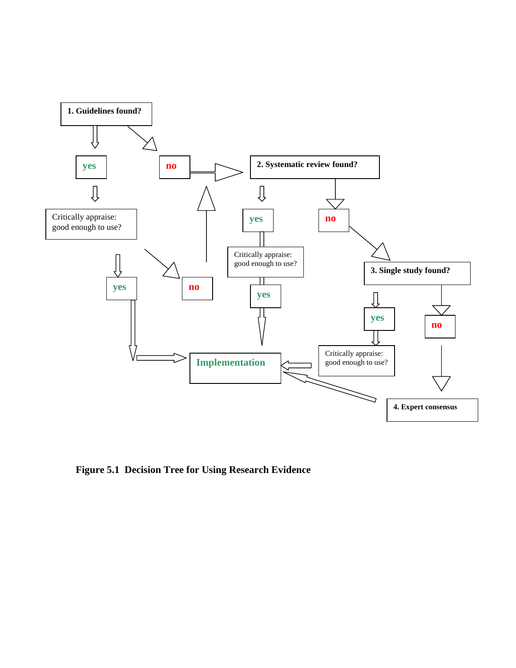

**Figure 5.1 Decision Tree for Using Research Evidence**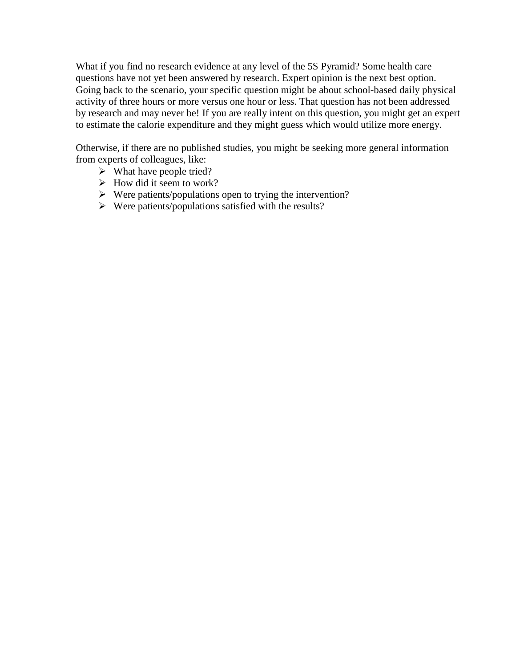What if you find no research evidence at any level of the 5S Pyramid? Some health care questions have not yet been answered by research. Expert opinion is the next best option. Going back to the scenario, your specific question might be about school-based daily physical activity of three hours or more versus one hour or less. That question has not been addressed by research and may never be! If you are really intent on this question, you might get an expert to estimate the calorie expenditure and they might guess which would utilize more energy.

Otherwise, if there are no published studies, you might be seeking more general information from experts of colleagues, like:

- $\triangleright$  What have people tried?
- $\triangleright$  How did it seem to work?
- $\triangleright$  Were patients/populations open to trying the intervention?
- $\triangleright$  Were patients/populations satisfied with the results?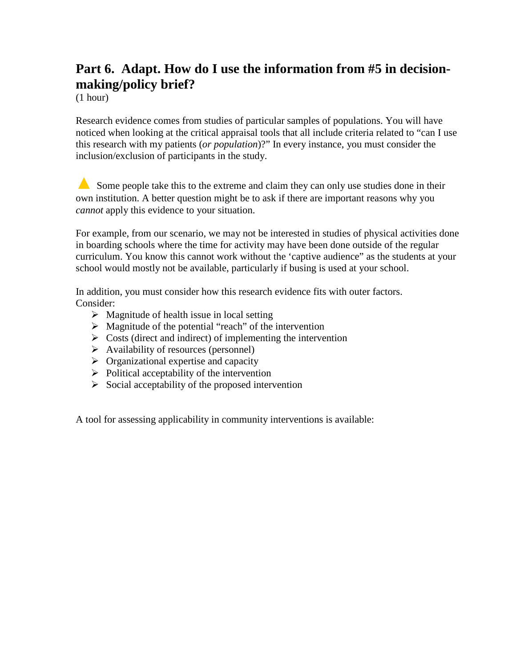### **Part 6. Adapt. How do I use the information from #5 in decisionmaking/policy brief?**

(1 hour)

Research evidence comes from studies of particular samples of populations. You will have noticed when looking at the critical appraisal tools that all include criteria related to "can I use this research with my patients (*or population*)?" In every instance, you must consider the inclusion/exclusion of participants in the study.

▲ Some people take this to the extreme and claim they can only use studies done in their own institution. A better question might be to ask if there are important reasons why you *cannot* apply this evidence to your situation.

For example, from our scenario, we may not be interested in studies of physical activities done in boarding schools where the time for activity may have been done outside of the regular curriculum. You know this cannot work without the 'captive audience" as the students at your school would mostly not be available, particularly if busing is used at your school.

In addition, you must consider how this research evidence fits with outer factors. Consider:

- $\triangleright$  Magnitude of health issue in local setting
- $\triangleright$  Magnitude of the potential "reach" of the intervention
- $\triangleright$  Costs (direct and indirect) of implementing the intervention
- $\triangleright$  Availability of resources (personnel)
- $\triangleright$  Organizational expertise and capacity
- $\triangleright$  Political acceptability of the intervention
- $\triangleright$  Social acceptability of the proposed intervention

A tool for assessing applicability in community interventions is available: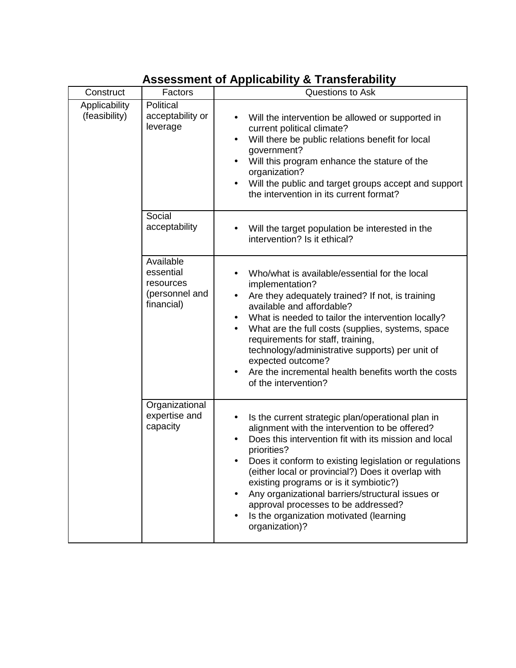#### Construct | Factors | Questions to Ask **Political** acceptability or leverage • Will the intervention be allowed or supported in current political climate? Will there be public relations benefit for local government? • Will this program enhance the stature of the organization? • Will the public and target groups accept and support the intervention in its current format? Social acceptability  $\parallel \cdot \cdot \cdot$  Will the target population be interested in the intervention? Is it ethical? Available essential resources (personnel and financial) • Who/what is available/essential for the local implementation? • Are they adequately trained? If not, is training available and affordable? • What is needed to tailor the intervention locally? What are the full costs (supplies, systems, space requirements for staff, training, technology/administrative supports) per unit of expected outcome? • Are the incremental health benefits worth the costs of the intervention? **Applicability** (feasibility) **Organizational** expertise and capacity • Is the current strategic plan/operational plan in alignment with the intervention to be offered? • Does this intervention fit with its mission and local priorities? • Does it conform to existing legislation or regulations (either local or provincial?) Does it overlap with existing programs or is it symbiotic?) • Any organizational barriers/structural issues or approval processes to be addressed? • Is the organization motivated (learning organization)?

### **Assessment of Applicability & Transferability**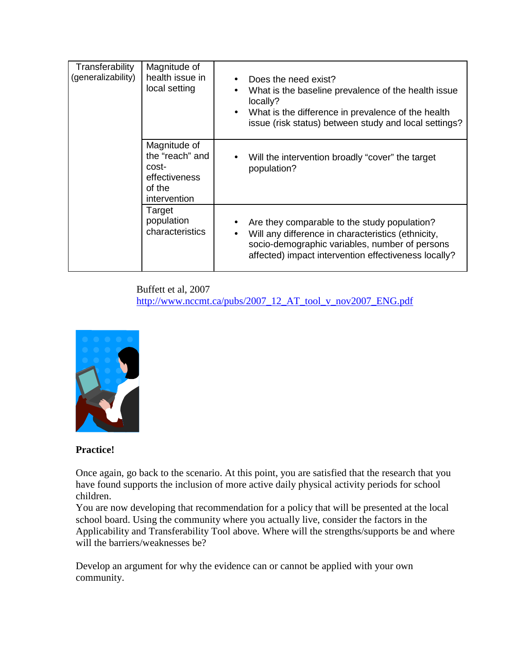| Transferability<br>(generalizability) | Magnitude of<br>health issue in<br>local setting                                    | Does the need exist?<br>What is the baseline prevalence of the health issue<br>locally?<br>What is the difference in prevalence of the health<br>issue (risk status) between study and local settings?                    |
|---------------------------------------|-------------------------------------------------------------------------------------|---------------------------------------------------------------------------------------------------------------------------------------------------------------------------------------------------------------------------|
|                                       | Magnitude of<br>the "reach" and<br>cost-<br>effectiveness<br>of the<br>intervention | • Will the intervention broadly "cover" the target<br>population?                                                                                                                                                         |
|                                       | Target<br>population<br>characteristics                                             | Are they comparable to the study population?<br>Will any difference in characteristics (ethnicity,<br>$\bullet$<br>socio-demographic variables, number of persons<br>affected) impact intervention effectiveness locally? |

Buffett et al, 2007 http://www.nccmt.ca/pubs/2007\_12\_AT\_tool\_v\_nov2007\_ENG.pdf



#### **Practice!**

Once again, go back to the scenario. At this point, you are satisfied that the research that you have found supports the inclusion of more active daily physical activity periods for school children.

You are now developing that recommendation for a policy that will be presented at the local school board. Using the community where you actually live, consider the factors in the Applicability and Transferability Tool above. Where will the strengths/supports be and where will the barriers/weaknesses be?

Develop an argument for why the evidence can or cannot be applied with your own community.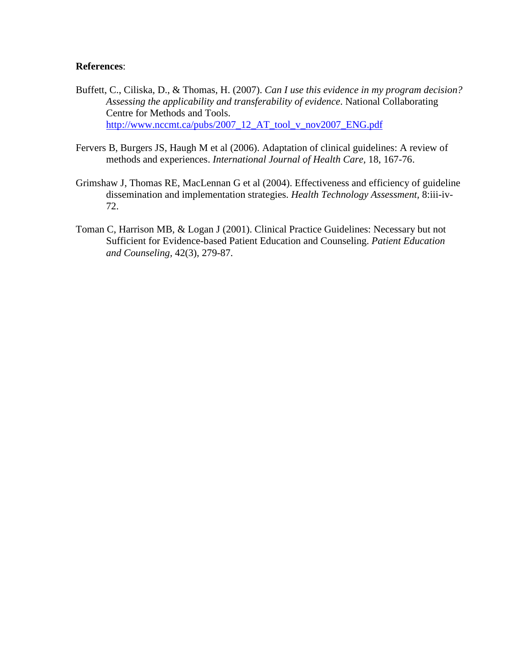#### **References**:

- Buffett, C., Ciliska, D., & Thomas, H. (2007). *Can I use this evidence in my program decision? Assessing the applicability and transferability of evidence*. National Collaborating Centre for Methods and Tools. http://www.nccmt.ca/pubs/2007\_12\_AT\_tool\_v\_nov2007\_ENG.pdf
- Fervers B, Burgers JS, Haugh M et al (2006). Adaptation of clinical guidelines: A review of methods and experiences. *International Journal of Health Care,* 18, 167-76.
- Grimshaw J, Thomas RE, MacLennan G et al (2004). Effectiveness and efficiency of guideline dissemination and implementation strategies. *Health Technology Assessment,* 8:iii-iv-72.
- Toman C, Harrison MB, & Logan J (2001). Clinical Practice Guidelines: Necessary but not Sufficient for Evidence-based Patient Education and Counseling. *Patient Education and Counseling,* 42(3), 279-87.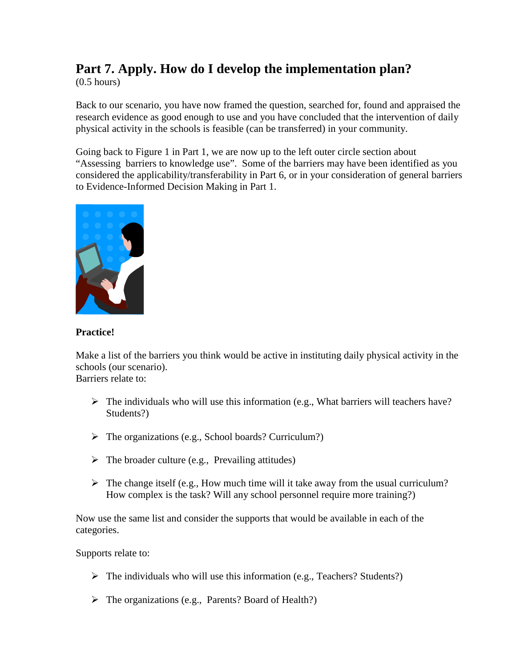## **Part 7. Apply. How do I develop the implementation plan?**

 $(0.5$  hours)

Back to our scenario, you have now framed the question, searched for, found and appraised the research evidence as good enough to use and you have concluded that the intervention of daily physical activity in the schools is feasible (can be transferred) in your community.

Going back to Figure 1 in Part 1, we are now up to the left outer circle section about "Assessing barriers to knowledge use". Some of the barriers may have been identified as you considered the applicability/transferability in Part 6, or in your consideration of general barriers to Evidence-Informed Decision Making in Part 1.



#### **Practice!**

Make a list of the barriers you think would be active in instituting daily physical activity in the schools (our scenario). Barriers relate to:

- $\triangleright$  The individuals who will use this information (e.g., What barriers will teachers have? Students?)
- $\triangleright$  The organizations (e.g., School boards? Curriculum?)
- $\triangleright$  The broader culture (e.g., Prevailing attitudes)
- $\triangleright$  The change itself (e.g., How much time will it take away from the usual curriculum? How complex is the task? Will any school personnel require more training?)

Now use the same list and consider the supports that would be available in each of the categories.

Supports relate to:

- $\triangleright$  The individuals who will use this information (e.g., Teachers? Students?)
- The organizations (e.g., Parents? Board of Health?)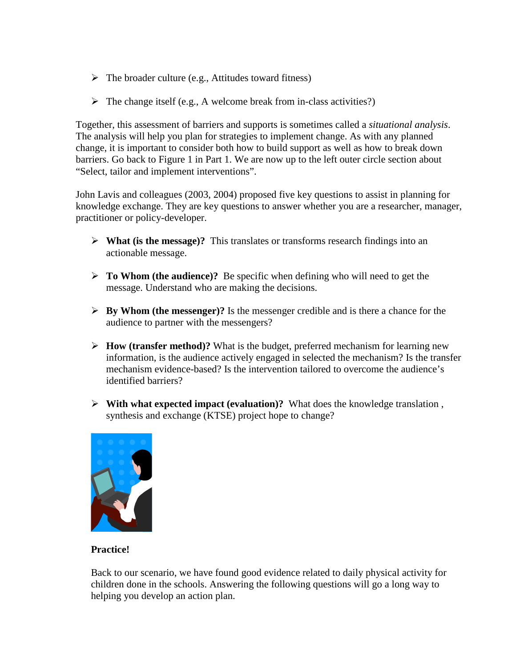- $\triangleright$  The broader culture (e.g., Attitudes toward fitness)
- $\triangleright$  The change itself (e.g., A welcome break from in-class activities?)

Together, this assessment of barriers and supports is sometimes called a *situational analysis*. The analysis will help you plan for strategies to implement change. As with any planned change, it is important to consider both how to build support as well as how to break down barriers. Go back to Figure 1 in Part 1. We are now up to the left outer circle section about "Select, tailor and implement interventions".

John Lavis and colleagues (2003, 2004) proposed five key questions to assist in planning for knowledge exchange. They are key questions to answer whether you are a researcher, manager, practitioner or policy-developer.

- **What (is the message)?** This translates or transforms research findings into an actionable message.
- **To Whom (the audience)?** Be specific when defining who will need to get the message. Understand who are making the decisions.
- **By Whom (the messenger)?** Is the messenger credible and is there a chance for the audience to partner with the messengers?
- **How (transfer method)?** What is the budget, preferred mechanism for learning new information, is the audience actively engaged in selected the mechanism? Is the transfer mechanism evidence-based? Is the intervention tailored to overcome the audience's identified barriers?
- **With what expected impact (evaluation)?** What does the knowledge translation , synthesis and exchange (KTSE) project hope to change?



#### **Practice!**

Back to our scenario, we have found good evidence related to daily physical activity for children done in the schools. Answering the following questions will go a long way to helping you develop an action plan.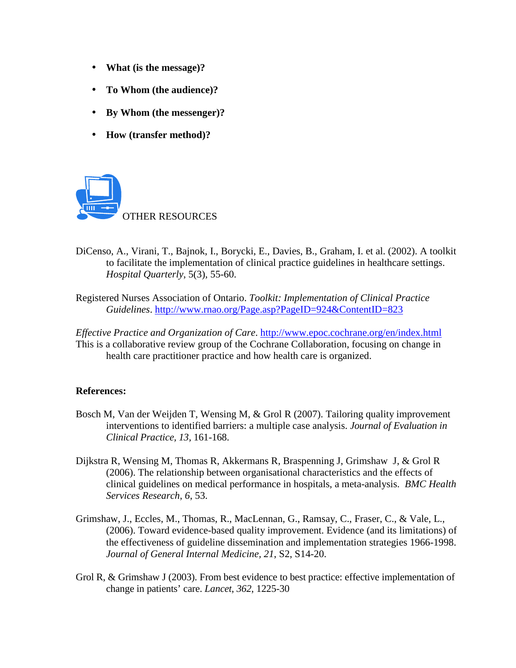- **What (is the message)?**
- **To Whom (the audience)?**
- **By Whom (the messenger)?**
- **How (transfer method)?**



- DiCenso, A., Virani, T., Bajnok, I., Borycki, E., Davies, B., Graham, I. et al. (2002). A toolkit to facilitate the implementation of clinical practice guidelines in healthcare settings. *Hospital Quarterly*, 5(3), 55-60.
- Registered Nurses Association of Ontario. *Toolkit: Implementation of Clinical Practice Guidelines*. http://www.rnao.org/Page.asp?PageID=924&ContentID=823

*Effective Practice and Organization of Care*. http://www.epoc.cochrane.org/en/index.html This is a collaborative review group of the Cochrane Collaboration, focusing on change in health care practitioner practice and how health care is organized.

#### **References:**

- Bosch M, Van der Weijden T, Wensing M, & Grol R (2007). Tailoring quality improvement interventions to identified barriers: a multiple case analysis. *Journal of Evaluation in Clinical Practice, 13,* 161-168.
- Dijkstra R, Wensing M, Thomas R, Akkermans R, Braspenning J, Grimshaw J, & Grol R (2006). The relationship between organisational characteristics and the effects of clinical guidelines on medical performance in hospitals, a meta-analysis. *BMC Health Services Research*, *6*, 53.
- Grimshaw, J., Eccles, M., Thomas, R., MacLennan, G., Ramsay, C., Fraser, C., & Vale, L., (2006). Toward evidence-based quality improvement. Evidence (and its limitations) of the effectiveness of guideline dissemination and implementation strategies 1966-1998. *Journal of General Internal Medicine, 21*, S2, S14-20.
- Grol R, & Grimshaw J (2003). From best evidence to best practice: effective implementation of change in patients' care. *Lancet*, *362*, 1225-30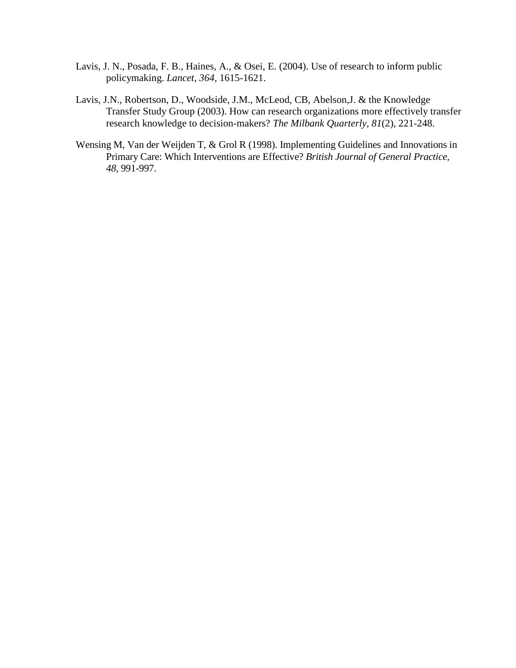- Lavis, J. N., Posada, F. B., Haines, A., & Osei, E. (2004). Use of research to inform public policymaking. *Lancet, 364,* 1615-1621.
- Lavis, J.N., Robertson, D., Woodside, J.M., McLeod, CB, Abelson,J. & the Knowledge Transfer Study Group (2003). How can research organizations more effectively transfer research knowledge to decision-makers? *The Milbank Quarterly, 81*(2), 221-248.
- Wensing M, Van der Weijden T, & Grol R (1998). Implementing Guidelines and Innovations in Primary Care: Which Interventions are Effective? *British Journal of General Practice, 48,* 991-997.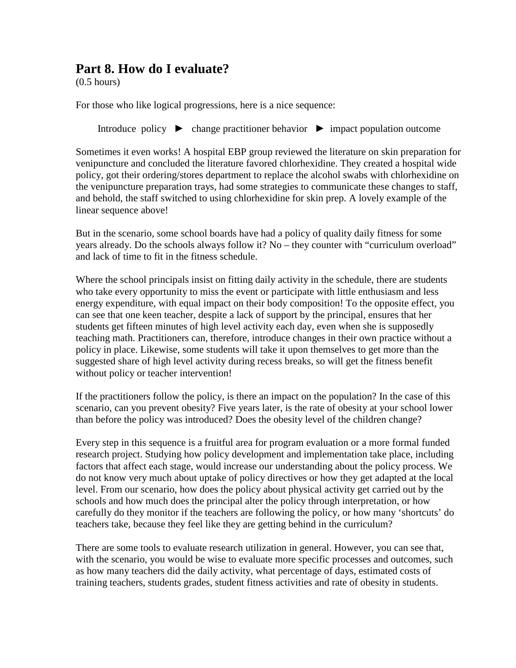### **Part 8. How do I evaluate?**

(0.5 hours)

For those who like logical progressions, here is a nice sequence:

Introduce policy ► change practitioner behavior ► impact population outcome

Sometimes it even works! A hospital EBP group reviewed the literature on skin preparation for venipuncture and concluded the literature favored chlorhexidine. They created a hospital wide policy, got their ordering/stores department to replace the alcohol swabs with chlorhexidine on the venipuncture preparation trays, had some strategies to communicate these changes to staff, and behold, the staff switched to using chlorhexidine for skin prep. A lovely example of the linear sequence above!

But in the scenario, some school boards have had a policy of quality daily fitness for some years already. Do the schools always follow it? No – they counter with "curriculum overload" and lack of time to fit in the fitness schedule.

Where the school principals insist on fitting daily activity in the schedule, there are students who take every opportunity to miss the event or participate with little enthusiasm and less energy expenditure, with equal impact on their body composition! To the opposite effect, you can see that one keen teacher, despite a lack of support by the principal, ensures that her students get fifteen minutes of high level activity each day, even when she is supposedly teaching math. Practitioners can, therefore, introduce changes in their own practice without a policy in place. Likewise, some students will take it upon themselves to get more than the suggested share of high level activity during recess breaks, so will get the fitness benefit without policy or teacher intervention!

If the practitioners follow the policy, is there an impact on the population? In the case of this scenario, can you prevent obesity? Five years later, is the rate of obesity at your school lower than before the policy was introduced? Does the obesity level of the children change?

Every step in this sequence is a fruitful area for program evaluation or a more formal funded research project. Studying how policy development and implementation take place, including factors that affect each stage, would increase our understanding about the policy process. We do not know very much about uptake of policy directives or how they get adapted at the local level. From our scenario, how does the policy about physical activity get carried out by the schools and how much does the principal alter the policy through interpretation, or how carefully do they monitor if the teachers are following the policy, or how many 'shortcuts' do teachers take, because they feel like they are getting behind in the curriculum?

There are some tools to evaluate research utilization in general. However, you can see that, with the scenario, you would be wise to evaluate more specific processes and outcomes, such as how many teachers did the daily activity, what percentage of days, estimated costs of training teachers, students grades, student fitness activities and rate of obesity in students.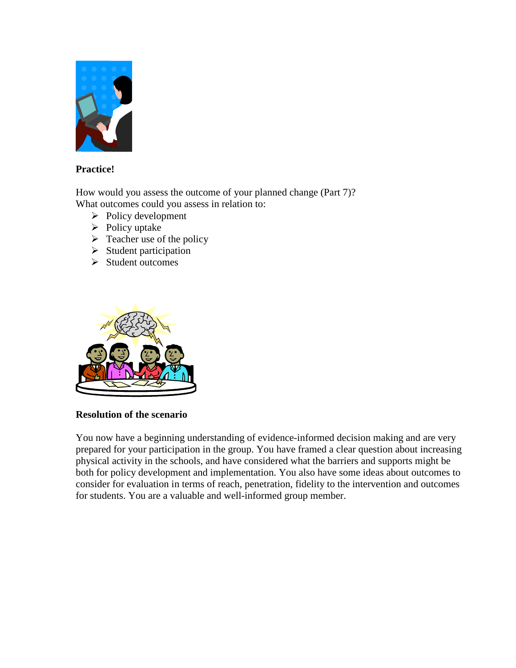

#### **Practice!**

How would you assess the outcome of your planned change (Part 7)? What outcomes could you assess in relation to:

- $\triangleright$  Policy development
- $\triangleright$  Policy uptake
- $\triangleright$  Teacher use of the policy
- $\triangleright$  Student participation
- $\triangleright$  Student outcomes



#### **Resolution of the scenario**

You now have a beginning understanding of evidence-informed decision making and are very prepared for your participation in the group. You have framed a clear question about increasing physical activity in the schools, and have considered what the barriers and supports might be both for policy development and implementation. You also have some ideas about outcomes to consider for evaluation in terms of reach, penetration, fidelity to the intervention and outcomes for students. You are a valuable and well-informed group member.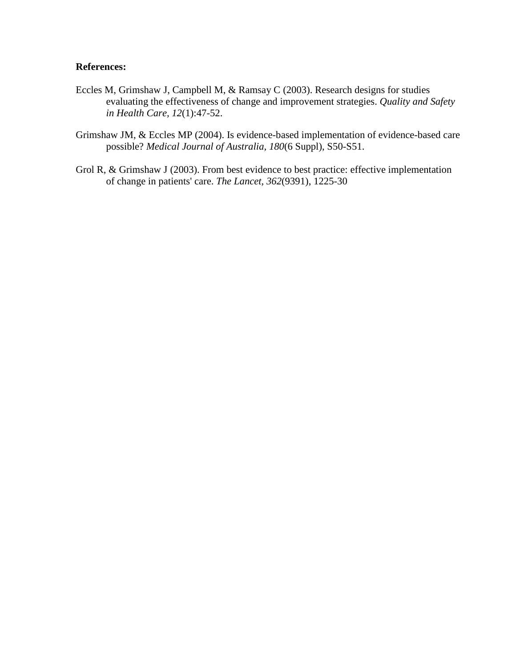#### **References:**

- Eccles M, Grimshaw J, Campbell M, & Ramsay C (2003). Research designs for studies evaluating the effectiveness of change and improvement strategies. *Quality and Safety in Health Care, 12*(1):47-52.
- Grimshaw JM, & Eccles MP (2004). Is evidence-based implementation of evidence-based care possible? *Medical Journal of Australia, 180*(6 Suppl), S50-S51.
- Grol R, & Grimshaw J (2003). From best evidence to best practice: effective implementation of change in patients' care. *The Lancet, 362*(9391), 1225-30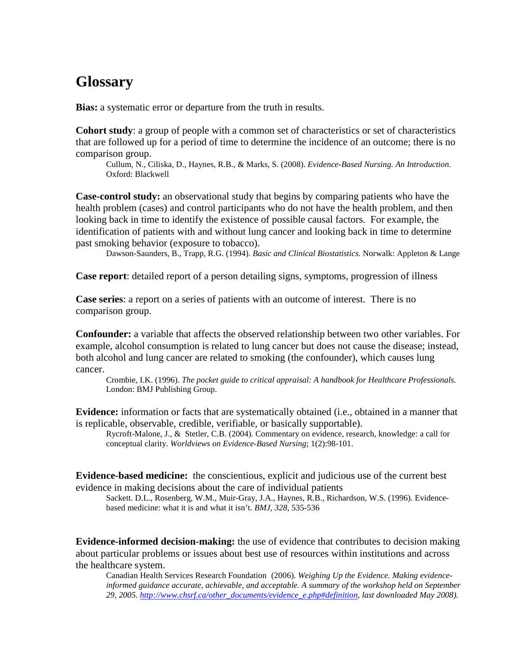# **Glossary**

**Bias:** a systematic error or departure from the truth in results.

**Cohort study**: a group of people with a common set of characteristics or set of characteristics that are followed up for a period of time to determine the incidence of an outcome; there is no comparison group.

Cullum, N., Ciliska, D., Haynes, R.B., & Marks, S. (2008). *Evidence-Based Nursing. An Introduction*. Oxford: Blackwell

**Case-control study:** an observational study that begins by comparing patients who have the health problem (cases) and control participants who do not have the health problem, and then looking back in time to identify the existence of possible causal factors. For example, the identification of patients with and without lung cancer and looking back in time to determine past smoking behavior (exposure to tobacco).

Dawson-Saunders, B., Trapp, R.G. (1994). *Basic and Clinical Biostatistics.* Norwalk: Appleton & Lange

**Case report**: detailed report of a person detailing signs, symptoms, progression of illness

**Case series**: a report on a series of patients with an outcome of interest. There is no comparison group.

**Confounder:** a variable that affects the observed relationship between two other variables. For example, alcohol consumption is related to lung cancer but does not cause the disease; instead, both alcohol and lung cancer are related to smoking (the confounder), which causes lung cancer.

Crombie, I.K. (1996). *The pocket guide to critical appraisal: A handbook for Healthcare Professionals*. London: BMJ Publishing Group.

**Evidence:** information or facts that are systematically obtained (i.e., obtained in a manner that is replicable, observable, credible, verifiable, or basically supportable).

Rycroft-Malone, J., & Stetler, C.B. (2004). Commentary on evidence, research, knowledge: a call for conceptual clarity. *Worldviews on Evidence-Based Nursing*; 1(2):98-101.

**Evidence-based medicine:** the conscientious, explicit and judicious use of the current best evidence in making decisions about the care of individual patients

Sackett. D.L., Rosenberg, W.M., Muir-Gray, J.A., Haynes, R.B., Richardson, W.S. (1996). Evidencebased medicine: what it is and what it isn't. *BMJ, 328*, 535-536

**Evidence-informed decision-making:** the use of evidence that contributes to decision making about particular problems or issues about best use of resources within institutions and across the healthcare system.

Canadian Health Services Research Foundation (2006). *Weighing Up the Evidence. Making evidenceinformed guidance accurate, achievable, and acceptable. A summary of the workshop held on September 29, 2005. http://www.chsrf.ca/other\_documents/evidence\_e.php#definition, last downloaded May 2008).*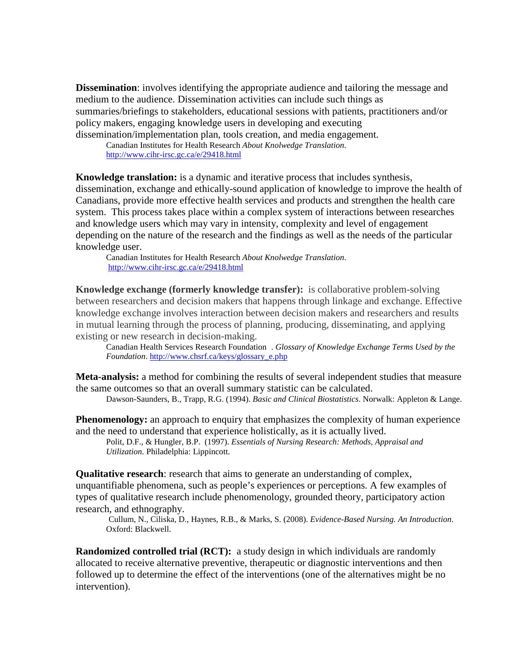**Dissemination**: involves identifying the appropriate audience and tailoring the message and medium to the audience. Dissemination activities can include such things as summaries/briefings to stakeholders, educational sessions with patients, practitioners and/or policy makers, engaging knowledge users in developing and executing dissemination/implementation plan, tools creation, and media engagement.

Canadian Institutes for Health Research *About Knolwedge Translation*. http://www.cihr-irsc.gc.ca/e/29418.html

**Knowledge translation:** is a dynamic and iterative process that includes synthesis, dissemination, exchange and ethically-sound application of knowledge to improve the health of Canadians, provide more effective health services and products and strengthen the health care system. This process takes place within a complex system of interactions between researches and knowledge users which may vary in intensity, complexity and level of engagement depending on the nature of the research and the findings as well as the needs of the particular knowledge user.

Canadian Institutes for Health Research *About Knolwedge Translation*. http://www.cihr-irsc.gc.ca/e/29418.html

**Knowledge exchange (formerly knowledge transfer):** is collaborative problem-solving between researchers and decision makers that happens through linkage and exchange. Effective knowledge exchange involves interaction between decision makers and researchers and results in mutual learning through the process of planning, producing, disseminating, and applying existing or new research in decision-making.

Canadian Health Services Research Foundation . *Glossary of Knowledge Exchange Terms Used by the Foundation*. http://www.chsrf.ca/keys/glossary\_e.php

**Meta-analysis:** a method for combining the results of several independent studies that measure the same outcomes so that an overall summary statistic can be calculated.

Dawson-Saunders, B., Trapp, R.G. (1994). *Basic and Clinical Biostatistics*. Norwalk: Appleton & Lange.

**Phenomenology:** an approach to enquiry that emphasizes the complexity of human experience and the need to understand that experience holistically, as it is actually lived.

Polit, D.F., & Hungler, B.P. (1997). *Essentials of Nursing Research: Methods, Appraisal and Utilization.* Philadelphia: Lippincott.

**Qualitative research:** research that aims to generate an understanding of complex, unquantifiable phenomena, such as people's experiences or perceptions. A few examples of types of qualitative research include phenomenology, grounded theory, participatory action research, and ethnography.

Cullum, N., Ciliska, D., Haynes, R.B., & Marks, S. (2008). *Evidence-Based Nursing. An Introduction*. Oxford: Blackwell.

**Randomized controlled trial (RCT):** a study design in which individuals are randomly allocated to receive alternative preventive, therapeutic or diagnostic interventions and then followed up to determine the effect of the interventions (one of the alternatives might be no intervention).